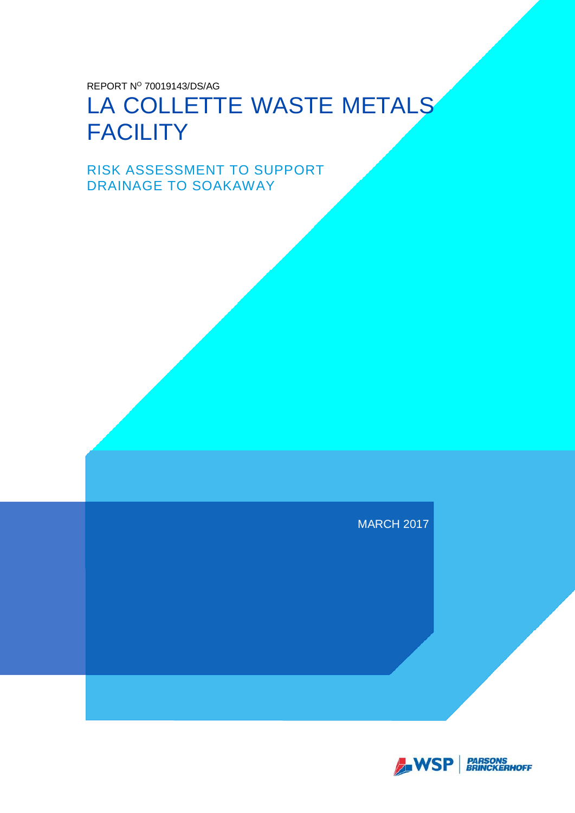REPORT Nº 70019143/DS/AG

# LA COLLETTE WASTE METALS **FACILITY**

RISK ASSESSMENT TO SUPPORT DRAINAGE TO SOAKAWAY

MARCH 2017

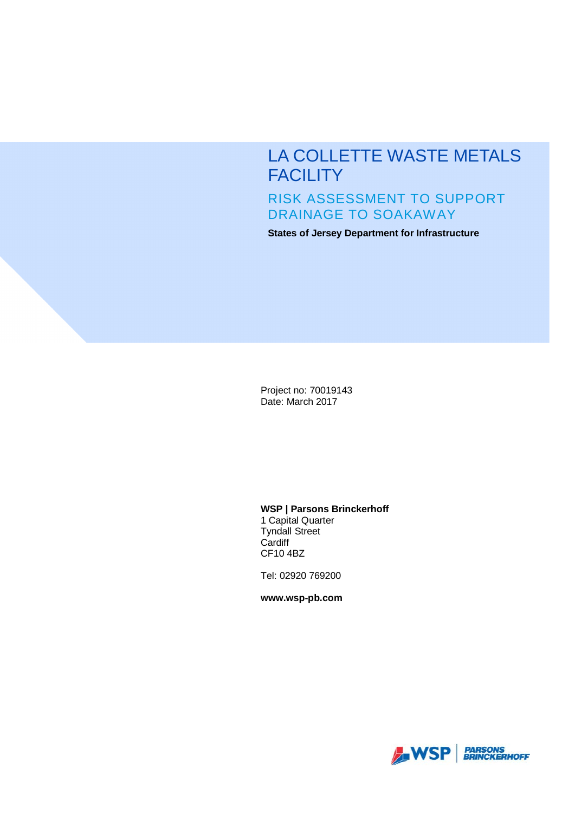# LA COLLETTE WASTE METALS **FACILITY** RISK ASSESSMENT TO SUPPORT DRAINAGE TO SOAKAWAY

**States of Jersey Department for Infrastructure**

Project no: 70019143 Date: March 2017

**WSP | Parsons Brinckerhoff**

1 Capital Quarter Tyndall Street **Cardiff** CF10 4BZ

Tel: 02920 769200

**www.wsp-pb.com**

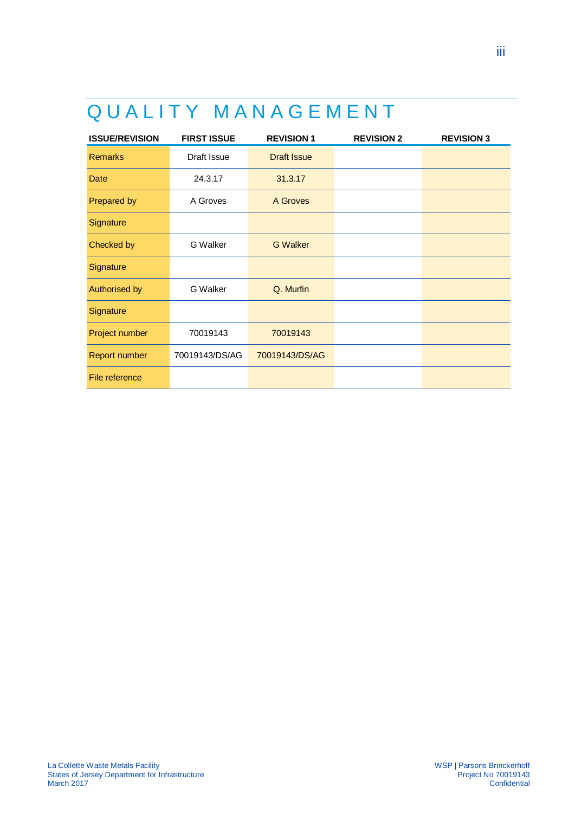# QUALITY MANAGEMENT

| <b>ISSUE/REVISION</b> | <b>FIRST ISSUE</b> | <b>REVISION 1</b>  | <b>REVISION 2</b> | <b>REVISION 3</b> |
|-----------------------|--------------------|--------------------|-------------------|-------------------|
| <b>Remarks</b>        | Draft Issue        | <b>Draft Issue</b> |                   |                   |
| Date                  | 24.3.17            | 31.3.17            |                   |                   |
| Prepared by           | A Groves           | A Groves           |                   |                   |
| Signature             |                    |                    |                   |                   |
| Checked by            | <b>G</b> Walker    | <b>G</b> Walker    |                   |                   |
| Signature             |                    |                    |                   |                   |
| Authorised by         | <b>G</b> Walker    | Q. Murfin          |                   |                   |
| Signature             |                    |                    |                   |                   |
| Project number        | 70019143           | 70019143           |                   |                   |
| <b>Report number</b>  | 70019143/DS/AG     | 70019143/DS/AG     |                   |                   |
| File reference        |                    |                    |                   |                   |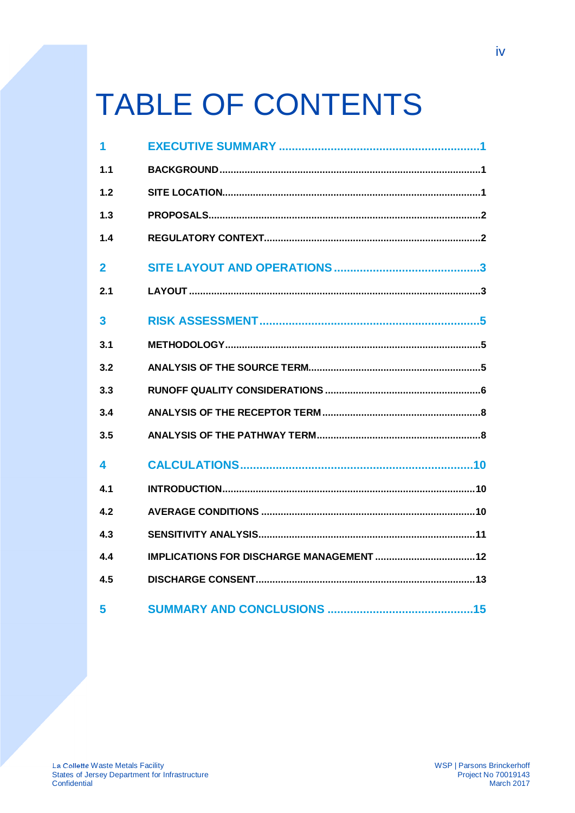# **TABLE OF CONTENTS**

| 1                       |  |
|-------------------------|--|
| 1.1                     |  |
| 1.2                     |  |
| 1.3                     |  |
| 1.4                     |  |
| $\mathbf{2}$            |  |
| 2.1                     |  |
| $\overline{\mathbf{3}}$ |  |
| 3.1                     |  |
| 3.2                     |  |
| 3.3                     |  |
| 3.4                     |  |
| 3.5                     |  |
| 4                       |  |
| 4.1                     |  |
| 4.2                     |  |
| 4.3                     |  |
| 4.4                     |  |
| 4.5                     |  |
| 5                       |  |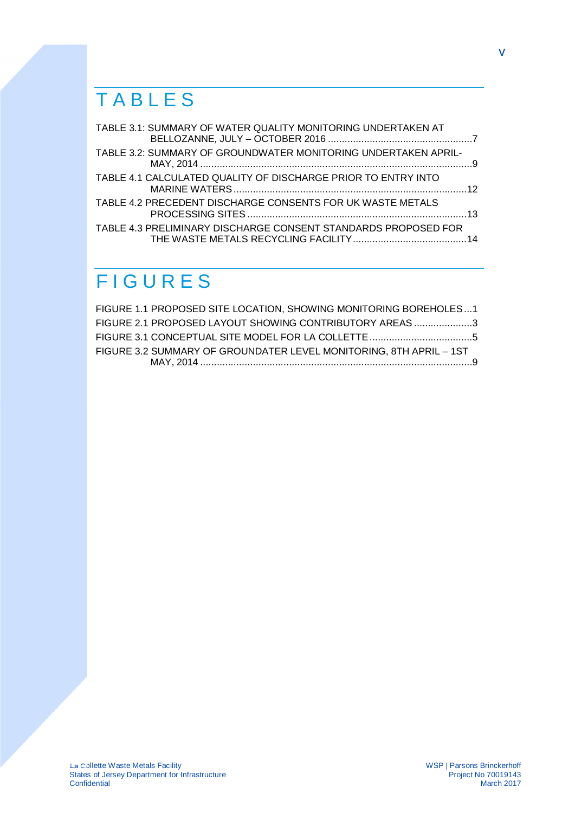# TABLES

| TABLE 3.1: SUMMARY OF WATER QUALITY MONITORING UNDERTAKEN AT   |  |
|----------------------------------------------------------------|--|
| TABLE 3.2: SUMMARY OF GROUNDWATER MONITORING UNDERTAKEN APRIL- |  |
| TABLE 4.1 CALCULATED QUALITY OF DISCHARGE PRIOR TO ENTRY INTO  |  |
| TABLE 4.2 PRECEDENT DISCHARGE CONSENTS FOR UK WASTE METALS     |  |
| TABLE 4.3 PRELIMINARY DISCHARGE CONSENT STANDARDS PROPOSED FOR |  |

# FIGURES

| FIGURE 1.1 PROPOSED SITE LOCATION, SHOWING MONITORING BOREHOLES1   |  |
|--------------------------------------------------------------------|--|
| FIGURE 2.1 PROPOSED LAYOUT SHOWING CONTRIBUTORY AREAS 3            |  |
|                                                                    |  |
| FIGURE 3.2 SUMMARY OF GROUNDATER LEVEL MONITORING, 8TH APRIL - 1ST |  |
|                                                                    |  |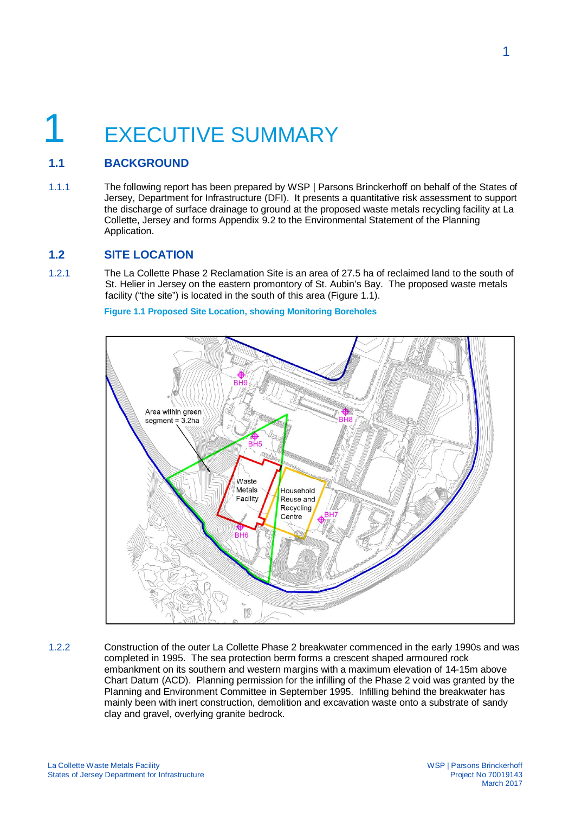# **EXECUTIVE SUMMARY**

# **1.1 BACKGROUND**

1.1.1 The following report has been prepared by WSP | Parsons Brinckerhoff on behalf of the States of Jersey, Department for Infrastructure (DFI). It presents a quantitative risk assessment to support the discharge of surface drainage to ground at the proposed waste metals recycling facility at La Collette, Jersey and forms Appendix 9.2 to the Environmental Statement of the Planning Application.

### **1.2 SITE LOCATION**

1.2.1 The La Collette Phase 2 Reclamation Site is an area of 27.5 ha of reclaimed land to the south of St. Helier in Jersey on the eastern promontory of St. Aubin's Bay. The proposed waste metals facility ("the site") is located in the south of this area (Figure 1.1).

**Figure 1.1 Proposed Site Location, showing Monitoring Boreholes**



1.2.2 Construction of the outer La Collette Phase 2 breakwater commenced in the early 1990s and was completed in 1995. The sea protection berm forms a crescent shaped armoured rock embankment on its southern and western margins with a maximum elevation of 14-15m above Chart Datum (ACD). Planning permission for the infilling of the Phase 2 void was granted by the Planning and Environment Committee in September 1995. Infilling behind the breakwater has mainly been with inert construction, demolition and excavation waste onto a substrate of sandy clay and gravel, overlying granite bedrock.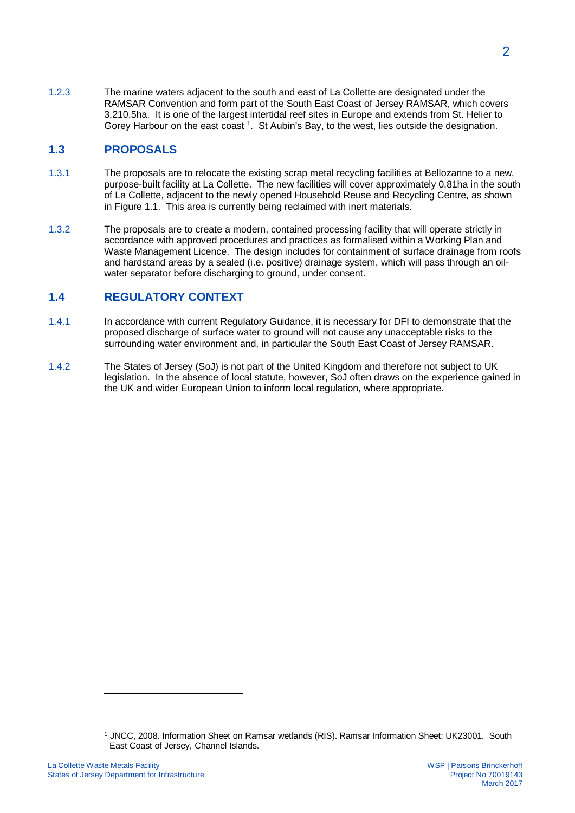1.2.3 The marine waters adjacent to the south and east of La Collette are designated under the RAMSAR Convention and form part of the South East Coast of Jersey RAMSAR, which covers 3,210.5ha. It is one of the largest intertidal reef sites in Europe and extends from St. Helier to Gorey Harbour on the east coast <sup>1</sup>. St Aubin's Bay, to the west, lies outside the designation.

### **1.3 PROPOSALS**

- 1.3.1 The proposals are to relocate the existing scrap metal recycling facilities at Bellozanne to a new, purpose-built facility at La Collette. The new facilities will cover approximately 0.81ha in the south of La Collette, adjacent to the newly opened Household Reuse and Recycling Centre, as shown in Figure 1.1. This area is currently being reclaimed with inert materials.
- 1.3.2 The proposals are to create a modern, contained processing facility that will operate strictly in accordance with approved procedures and practices as formalised within a Working Plan and Waste Management Licence. The design includes for containment of surface drainage from roofs and hardstand areas by a sealed (i.e. positive) drainage system, which will pass through an oilwater separator before discharging to ground, under consent.

### **1.4 REGULATORY CONTEXT**

- 1.4.1 In accordance with current Regulatory Guidance, it is necessary for DFI to demonstrate that the proposed discharge of surface water to ground will not cause any unacceptable risks to the surrounding water environment and, in particular the South East Coast of Jersey RAMSAR.
- 1.4.2 The States of Jersey (SoJ) is not part of the United Kingdom and therefore not subject to UK legislation. In the absence of local statute, however, SoJ often draws on the experience gained in the UK and wider European Union to inform local regulation, where appropriate.

<sup>1</sup> JNCC, 2008. Information Sheet on Ramsar wetlands (RIS). Ramsar Information Sheet: UK23001. South East Coast of Jersey, Channel Islands.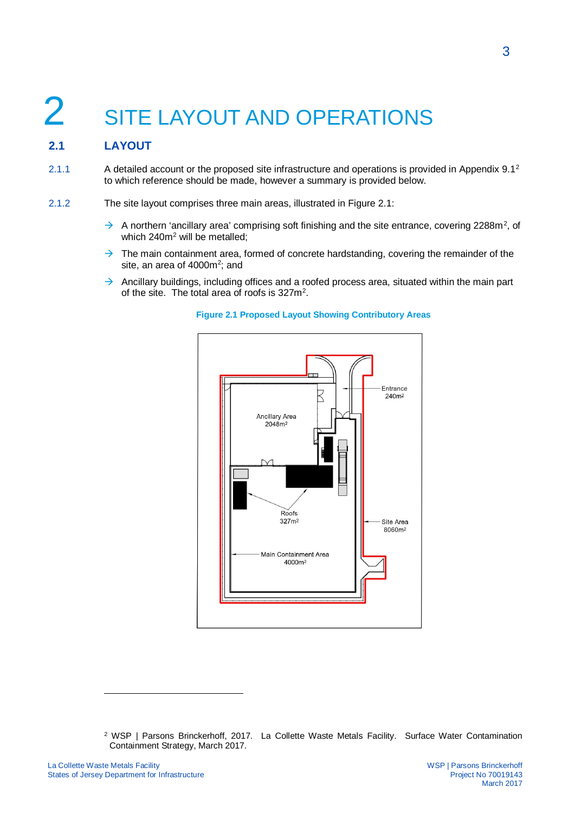# 2 SITE LAYOUT AND OPERATIONS

# **2.1 LAYOUT**

- 2.1.1 A detailed account or the proposed site infrastructure and operations is provided in Appendix 9.1<sup>2</sup> to which reference should be made, however a summary is provided below.
- 2.1.2 The site layout comprises three main areas, illustrated in Figure 2.1:
	- $\rightarrow$  A northern 'ancillary area' comprising soft finishing and the site entrance, covering 2288m<sup>2</sup>, of which 240m<sup>2</sup> will be metalled;
	- $\rightarrow$  The main containment area, formed of concrete hardstanding, covering the remainder of the site, an area of 4000m<sup>2</sup>; and
	- $\rightarrow$  Ancillary buildings, including offices and a roofed process area, situated within the main part of the site. The total area of roofs is  $327m^2$ .



#### **Figure 2.1 Proposed Layout Showing Contributory Areas**

<sup>2</sup> WSP | Parsons Brinckerhoff, 2017. La Collette Waste Metals Facility. Surface Water Contamination Containment Strategy, March 2017.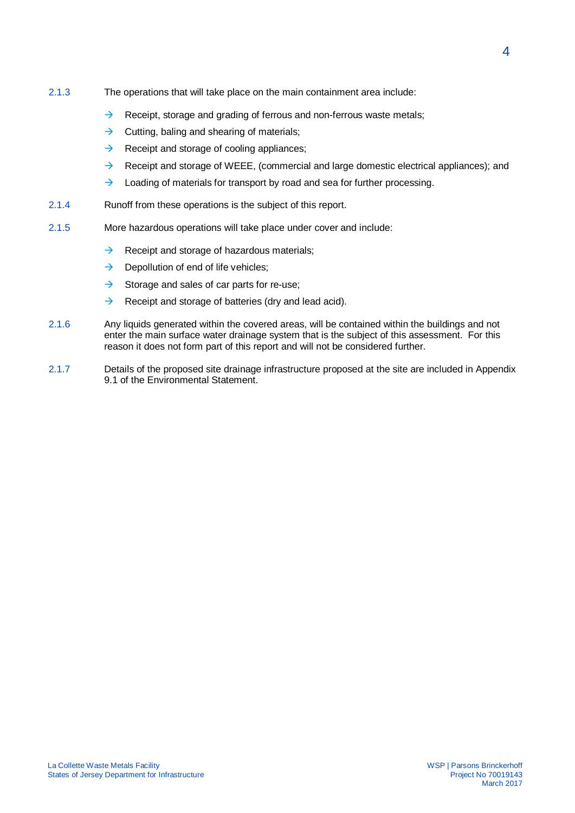- 2.1.3 The operations that will take place on the main containment area include:
	- $\rightarrow$  Receipt, storage and grading of ferrous and non-ferrous waste metals;
	- $\rightarrow$  Cutting, baling and shearing of materials;
	- $\rightarrow$  Receipt and storage of cooling appliances:
	- $\rightarrow$  Receipt and storage of WEEE, (commercial and large domestic electrical appliances); and
	- $\rightarrow$  Loading of materials for transport by road and sea for further processing.
- 2.1.4 Runoff from these operations is the subject of this report.
- 2.1.5 More hazardous operations will take place under cover and include:
	- $\rightarrow$  Receipt and storage of hazardous materials;
	- $\rightarrow$  Depollution of end of life vehicles;
	- $\rightarrow$  Storage and sales of car parts for re-use;
	- $\rightarrow$  Receipt and storage of batteries (dry and lead acid).
- 2.1.6 Any liquids generated within the covered areas, will be contained within the buildings and not enter the main surface water drainage system that is the subject of this assessment. For this reason it does not form part of this report and will not be considered further.
- 2.1.7 Details of the proposed site drainage infrastructure proposed at the site are included in Appendix 9.1 of the Environmental Statement.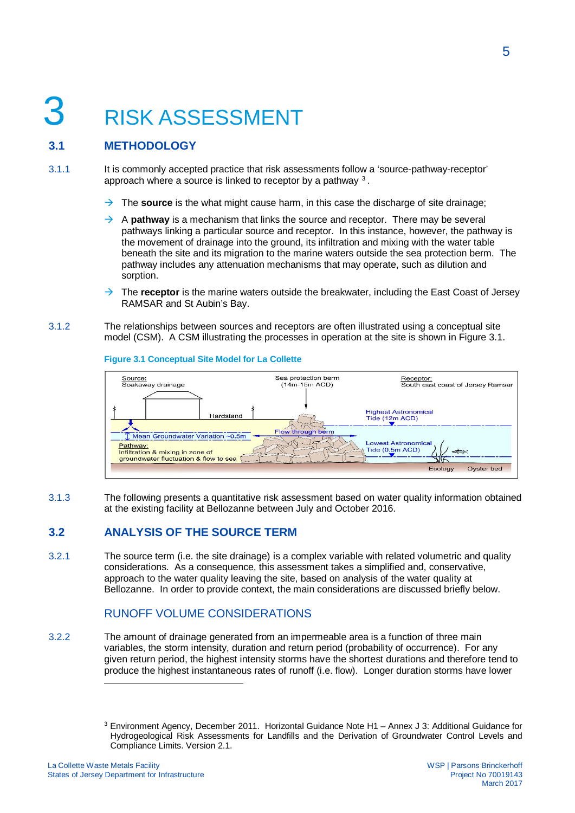# 3 RISK ASSESSMENT

# **3.1 METHODOLOGY**

3.1.1 It is commonly accepted practice that risk assessments follow a 'source-pathway-receptor' approach where a source is linked to receptor by a pathway  $3$ .

- $\rightarrow$  The **source** is the what might cause harm, in this case the discharge of site drainage;
- $\rightarrow$  A **pathway** is a mechanism that links the source and receptor. There may be several pathways linking a particular source and receptor. In this instance, however, the pathway is the movement of drainage into the ground, its infiltration and mixing with the water table beneath the site and its migration to the marine waters outside the sea protection berm. The pathway includes any attenuation mechanisms that may operate, such as dilution and sorption.
- $\rightarrow$  The **receptor** is the marine waters outside the breakwater, including the East Coast of Jersey RAMSAR and St Aubin's Bay.
- 3.1.2 The relationships between sources and receptors are often illustrated using a conceptual site model (CSM). A CSM illustrating the processes in operation at the site is shown in Figure 3.1.



#### **Figure 3.1 Conceptual Site Model for La Collette**

3.1.3 The following presents a quantitative risk assessment based on water quality information obtained at the existing facility at Bellozanne between July and October 2016.

## **3.2 ANALYSIS OF THE SOURCE TERM**

3.2.1 The source term (i.e. the site drainage) is a complex variable with related volumetric and quality considerations. As a consequence, this assessment takes a simplified and, conservative, approach to the water quality leaving the site, based on analysis of the water quality at Bellozanne. In order to provide context, the main considerations are discussed briefly below.

## RUNOFF VOLUME CONSIDERATIONS

3.2.2 The amount of drainage generated from an impermeable area is a function of three main variables, the storm intensity, duration and return period (probability of occurrence). For any given return period, the highest intensity storms have the shortest durations and therefore tend to produce the highest instantaneous rates of runoff (i.e. flow). Longer duration storms have lower

<sup>&</sup>lt;sup>3</sup> Environment Agency, December 2011. Horizontal Guidance Note H1 - Annex J 3: Additional Guidance for Hydrogeological Risk Assessments for Landfills and the Derivation of Groundwater Control Levels and Compliance Limits. Version 2.1.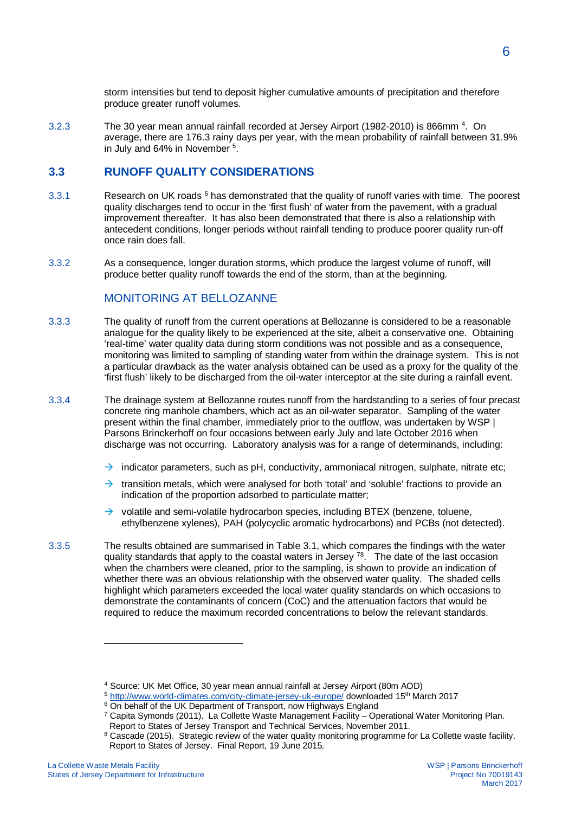storm intensities but tend to deposit higher cumulative amounts of precipitation and therefore produce greater runoff volumes.

3.2.3 The 30 year mean annual rainfall recorded at Jersey Airport (1982-2010) is 866mm<sup>4</sup>. On average, there are 176.3 rainy days per year, with the mean probability of rainfall between 31.9% in July and 64% in November<sup>5</sup>.

### **3.3 RUNOFF QUALITY CONSIDERATIONS**

- 3.3.1 **Solut** Research on UK roads  $6$  has demonstrated that the quality of runoff varies with time. The poorest quality discharges tend to occur in the 'first flush' of water from the pavement, with a gradual improvement thereafter. It has also been demonstrated that there is also a relationship with antecedent conditions, longer periods without rainfall tending to produce poorer quality run-off once rain does fall.
- 3.3.2 As a consequence, longer duration storms, which produce the largest volume of runoff, will produce better quality runoff towards the end of the storm, than at the beginning.

### MONITORING AT BELLOZANNE

- 3.3.3 The quality of runoff from the current operations at Bellozanne is considered to be a reasonable analogue for the quality likely to be experienced at the site, albeit a conservative one. Obtaining 'real-time' water quality data during storm conditions was not possible and as a consequence, monitoring was limited to sampling of standing water from within the drainage system. This is not a particular drawback as the water analysis obtained can be used as a proxy for the quality of the 'first flush' likely to be discharged from the oil-water interceptor at the site during a rainfall event.
- 3.3.4 The drainage system at Bellozanne routes runoff from the hardstanding to a series of four precast concrete ring manhole chambers, which act as an oil-water separator. Sampling of the water present within the final chamber, immediately prior to the outflow, was undertaken by WSP | Parsons Brinckerhoff on four occasions between early July and late October 2016 when discharge was not occurring. Laboratory analysis was for a range of determinands, including:
	- $\rightarrow$  indicator parameters, such as pH, conductivity, ammoniacal nitrogen, sulphate, nitrate etc;
	- $\rightarrow$  transition metals, which were analysed for both 'total' and 'soluble' fractions to provide an indication of the proportion adsorbed to particulate matter;
	- $\rightarrow$  volatile and semi-volatile hydrocarbon species, including BTEX (benzene, toluene, ethylbenzene xylenes), PAH (polycyclic aromatic hydrocarbons) and PCBs (not detected).
- 3.3.5 The results obtained are summarised in Table 3.1, which compares the findings with the water quality standards that apply to the coastal waters in Jersey  $78$ . The date of the last occasion when the chambers were cleaned, prior to the sampling, is shown to provide an indication of whether there was an obvious relationship with the observed water quality. The shaded cells highlight which parameters exceeded the local water quality standards on which occasions to demonstrate the contaminants of concern (CoC) and the attenuation factors that would be required to reduce the maximum recorded concentrations to below the relevant standards.

<sup>4</sup> Source: UK Met Office, 30 year mean annual rainfall at Jersey Airport (80m AOD)

<sup>5</sup> http://www.world-climates.com/city-climate-jersey-uk-europe/ downloaded 15th March 2017

<sup>&</sup>lt;sup>6</sup> On behalf of the UK Department of Transport, now Highways England

<sup>&</sup>lt;sup>7</sup> Capita Symonds (2011). La Collette Waste Management Facility – Operational Water Monitoring Plan. Report to States of Jersey Transport and Technical Services, November 2011.

 $8$  Cascade (2015). Strategic review of the water quality monitoring programme for La Collette waste facility. Report to States of Jersey. Final Report, 19 June 2015.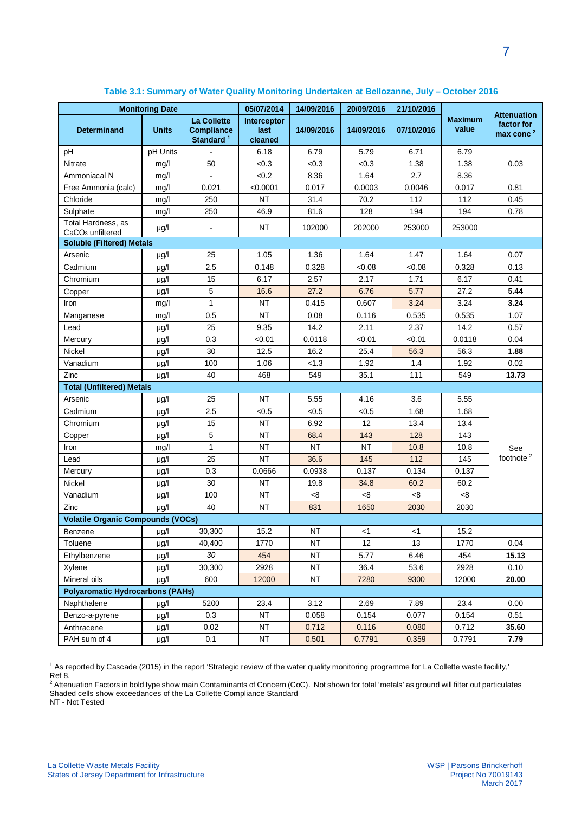| <b>Monitoring Date</b>                             |                                         | 05/07/2014                                                       | 14/09/2016                     | 20/09/2016 | 21/10/2016 |            |                         |                                                           |
|----------------------------------------------------|-----------------------------------------|------------------------------------------------------------------|--------------------------------|------------|------------|------------|-------------------------|-----------------------------------------------------------|
| <b>Determinand</b>                                 | <b>Units</b>                            | <b>La Collette</b><br><b>Compliance</b><br>Standard <sup>1</sup> | Interceptor<br>last<br>cleaned | 14/09/2016 | 14/09/2016 | 07/10/2016 | <b>Maximum</b><br>value | <b>Attenuation</b><br>factor for<br>max conc <sup>2</sup> |
| pH                                                 | pH Units                                |                                                                  | 6.18                           | 6.79       | 5.79       | 6.71       | 6.79                    |                                                           |
| <b>Nitrate</b>                                     | mg/l                                    | 50                                                               | < 0.3                          | < 0.3      | < 0.3      | 1.38       | 1.38                    | 0.03                                                      |
| Ammoniacal N                                       | mg/l                                    |                                                                  | < 0.2                          | 8.36       | 1.64       | 2.7        | 8.36                    |                                                           |
| Free Ammonia (calc)                                | mg/l                                    | 0.021                                                            | < 0.0001                       | 0.017      | 0.0003     | 0.0046     | 0.017                   | 0.81                                                      |
| Chloride                                           | mg/l                                    | 250                                                              | <b>NT</b>                      | 31.4       | 70.2       | 112        | 112                     | 0.45                                                      |
| Sulphate                                           | mg/l                                    | 250                                                              | 46.9                           | 81.6       | 128        | 194        | 194                     | 0.78                                                      |
| Total Hardness, as<br>CaCO <sub>3</sub> unfiltered | µg/l                                    | $\blacksquare$                                                   | <b>NT</b>                      | 102000     | 202000     | 253000     | 253000                  |                                                           |
| <b>Soluble (Filtered) Metals</b>                   |                                         |                                                                  |                                |            |            |            |                         |                                                           |
| Arsenic                                            | $\mu$ g/l                               | 25                                                               | 1.05                           | 1.36       | 1.64       | 1.47       | 1.64                    | 0.07                                                      |
| Cadmium                                            | µg/l                                    | 2.5                                                              | 0.148                          | 0.328      | < 0.08     | < 0.08     | 0.328                   | 0.13                                                      |
| Chromium                                           | µg/l                                    | 15                                                               | 6.17                           | 2.57       | 2.17       | 1.71       | 6.17                    | 0.41                                                      |
| Copper                                             | µg/l                                    | 5                                                                | 16.6                           | 27.2       | 6.76       | 5.77       | 27.2                    | 5.44                                                      |
| Iron                                               | mg/l                                    | $\mathbf{1}$                                                     | <b>NT</b>                      | 0.415      | 0.607      | 3.24       | 3.24                    | 3.24                                                      |
| Manganese                                          | mg/l                                    | 0.5                                                              | <b>NT</b>                      | 0.08       | 0.116      | 0.535      | 0.535                   | 1.07                                                      |
| Lead                                               | µg/l                                    | 25                                                               | 9.35                           | 14.2       | 2.11       | 2.37       | 14.2                    | 0.57                                                      |
| Mercury                                            | µg/l                                    | 0.3                                                              | < 0.01                         | 0.0118     | < 0.01     | < 0.01     | 0.0118                  | 0.04                                                      |
| Nickel                                             | µg/l                                    | 30                                                               | 12.5                           | 16.2       | 25.4       | 56.3       | 56.3                    | 1.88                                                      |
| Vanadium                                           | µg/l                                    | 100                                                              | 1.06                           | < 1.3      | 1.92       | 1.4        | 1.92                    | 0.02                                                      |
| Zinc                                               | µg/l                                    | 40                                                               | 468                            | 549        | 35.1       | 111        | 549                     | 13.73                                                     |
| <b>Total (Unfiltered) Metals</b>                   |                                         |                                                                  |                                |            |            |            |                         |                                                           |
| Arsenic                                            | µg/l                                    | 25                                                               | <b>NT</b>                      | 5.55       | 4.16       | 3.6        | 5.55                    |                                                           |
| Cadmium                                            | µg/l                                    | 2.5                                                              | < 0.5                          | < 0.5      | < 0.5      | 1.68       | 1.68                    |                                                           |
| Chromium                                           | µg/l                                    | 15                                                               | <b>NT</b>                      | 6.92       | 12         | 13.4       | 13.4                    |                                                           |
| Copper                                             | µg/l                                    | 5                                                                | <b>NT</b>                      | 68.4       | 143        | 128        | 143                     |                                                           |
| Iron                                               | mg/l                                    | $\mathbf{1}$                                                     | <b>NT</b>                      | <b>NT</b>  | <b>NT</b>  | 10.8       | 10.8                    | See                                                       |
| Lead                                               | µg/l                                    | 25                                                               | <b>NT</b>                      | 36.6       | 145        | 112        | 145                     | footnote <sup>2</sup>                                     |
| Mercury                                            | $\mu$ g/l                               | 0.3                                                              | 0.0666                         | 0.0938     | 0.137      | 0.134      | 0.137                   |                                                           |
| Nickel                                             | µg/l                                    | 30                                                               | <b>NT</b>                      | 19.8       | 34.8       | 60.2       | 60.2                    |                                                           |
| Vanadium                                           | µg/l                                    | 100                                                              | <b>NT</b>                      | < 8        | <8         | <8         | <8                      |                                                           |
| Zinc                                               | µg/l                                    | 40                                                               | NT                             | 831        | 1650       | 2030       | 2030                    |                                                           |
| <b>Volatile Organic Compounds (VOCs)</b>           |                                         |                                                                  |                                |            |            |            |                         |                                                           |
| Benzene                                            | $\mu g/l$                               | 30,300                                                           | 15.2                           | <b>NT</b>  | $<$ 1      | <1         | 15.2                    |                                                           |
| Toluene                                            | µg/l                                    | 40,400                                                           | 1770                           | <b>NT</b>  | 12         | 13         | 1770                    | 0.04                                                      |
| Ethylbenzene                                       | µg/l                                    | 30                                                               | 454                            | <b>NT</b>  | 5.77       | 6.46       | 454                     | 15.13                                                     |
| Xylene                                             | µg/l                                    | 30,300                                                           | 2928                           | NT         | 36.4       | 53.6       | 2928                    | 0.10                                                      |
| Mineral oils                                       | µg/l                                    | 600                                                              | 12000                          | <b>NT</b>  | 7280       | 9300       | 12000                   | 20.00                                                     |
|                                                    | <b>Polyaromatic Hydrocarbons (PAHs)</b> |                                                                  |                                |            |            |            |                         |                                                           |
| Naphthalene                                        | µg/l                                    | 5200                                                             | 23.4                           | 3.12       | 2.69       | 7.89       | 23.4                    | 0.00                                                      |
| Benzo-a-pyrene                                     | µg/l                                    | 0.3                                                              | <b>NT</b>                      | 0.058      | 0.154      | 0.077      | 0.154                   | 0.51                                                      |
| Anthracene                                         | µg/l                                    | 0.02                                                             | ΝT                             | 0.712      | 0.116      | 0.080      | 0.712                   | 35.60                                                     |
| PAH sum of 4                                       | µg/l                                    | 0.1                                                              | NT                             | 0.501      | 0.7791     | 0.359      | 0.7791                  | 7.79                                                      |

#### **Table 3.1: Summary of Water Quality Monitoring Undertaken at Bellozanne, July – October 2016**

<sup>1</sup> As reported by Cascade (2015) in the report 'Strategic review of the water quality monitoring programme for La Collette waste facility,'

Ref 8.<br><sup>2</sup> Attenuation Factors in bold type show main Contaminants of Concern (CoC). Not shown for total 'metals' as ground will filter out particulates Shaded cells show exceedances of the La Collette Compliance Standard

NT - Not Tested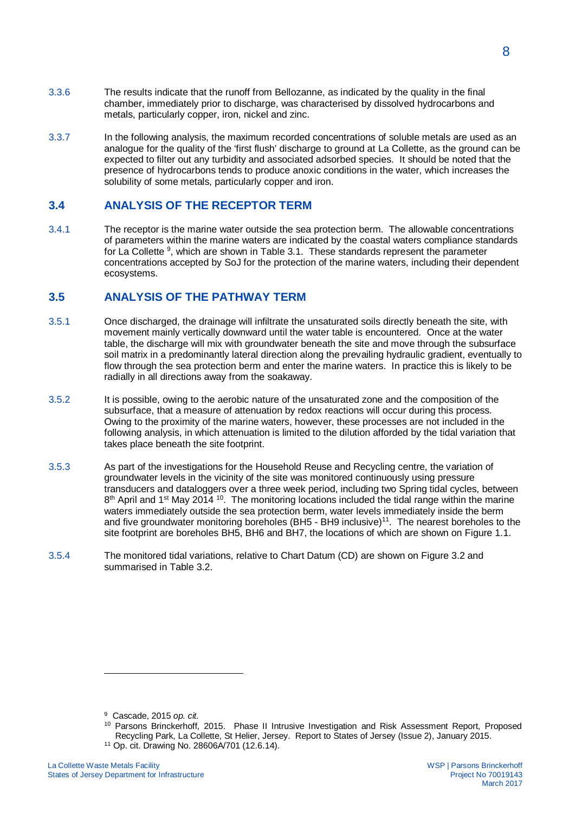- 3.3.6 The results indicate that the runoff from Bellozanne, as indicated by the quality in the final chamber, immediately prior to discharge, was characterised by dissolved hydrocarbons and metals, particularly copper, iron, nickel and zinc.
- 3.3.7 In the following analysis, the maximum recorded concentrations of soluble metals are used as an analogue for the quality of the 'first flush' discharge to ground at La Collette, as the ground can be expected to filter out any turbidity and associated adsorbed species. It should be noted that the presence of hydrocarbons tends to produce anoxic conditions in the water, which increases the solubility of some metals, particularly copper and iron.

#### **3.4 ANALYSIS OF THE RECEPTOR TERM**

3.4.1 The receptor is the marine water outside the sea protection berm. The allowable concentrations of parameters within the marine waters are indicated by the coastal waters compliance standards for La Collette <sup>9</sup>, which are shown in Table 3.1. These standards represent the parameter concentrations accepted by SoJ for the protection of the marine waters, including their dependent ecosystems.

### **3.5 ANALYSIS OF THE PATHWAY TERM**

- 3.5.1 Once discharged, the drainage will infiltrate the unsaturated soils directly beneath the site, with movement mainly vertically downward until the water table is encountered. Once at the water table, the discharge will mix with groundwater beneath the site and move through the subsurface soil matrix in a predominantly lateral direction along the prevailing hydraulic gradient, eventually to flow through the sea protection berm and enter the marine waters. In practice this is likely to be radially in all directions away from the soakaway.
- 3.5.2 It is possible, owing to the aerobic nature of the unsaturated zone and the composition of the subsurface, that a measure of attenuation by redox reactions will occur during this process. Owing to the proximity of the marine waters, however, these processes are not included in the following analysis, in which attenuation is limited to the dilution afforded by the tidal variation that takes place beneath the site footprint.
- 3.5.3 As part of the investigations for the Household Reuse and Recycling centre, the variation of groundwater levels in the vicinity of the site was monitored continuously using pressure transducers and dataloggers over a three week period, including two Spring tidal cycles, between  $8<sup>th</sup>$  April and 1<sup>st</sup> May 2014 <sup>10</sup>. The monitoring locations included the tidal range within the marine waters immediately outside the sea protection berm, water levels immediately inside the berm and five groundwater monitoring boreholes (BH5 - BH9 inclusive)<sup>11</sup>. The nearest boreholes to the site footprint are boreholes BH5, BH6 and BH7, the locations of which are shown on Figure 1.1.
- 3.5.4 The monitored tidal variations, relative to Chart Datum (CD) are shown on Figure 3.2 and summarised in Table 3.2.

- 9 Cascade, 2015 *op. cit.*
- <sup>10</sup> Parsons Brinckerhoff, 2015. Phase II Intrusive Investigation and Risk Assessment Report, Proposed Recycling Park, La Collette, St Helier, Jersey. Report to States of Jersey (Issue 2), January 2015.

11 Op. cit. Drawing No. 28606A/701 (12.6.14).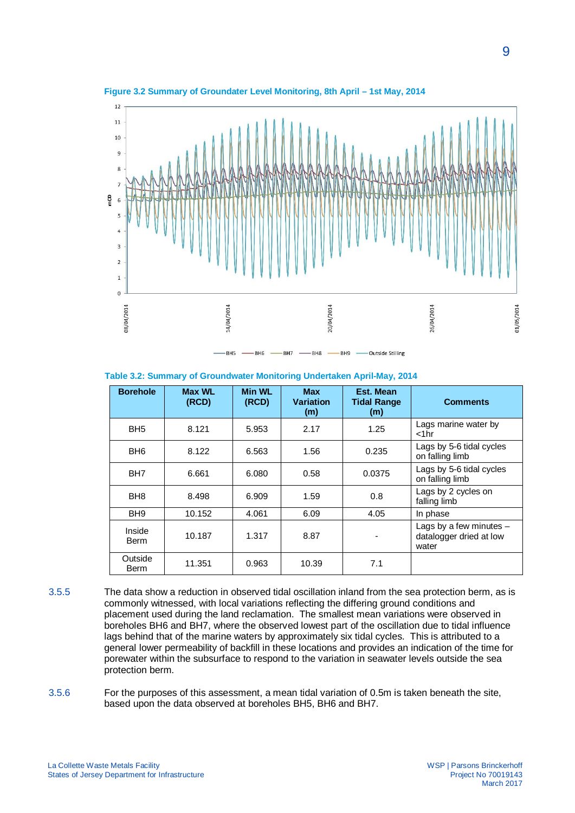

**Figure 3.2 Summary of Groundater Level Monitoring, 8th April – 1st May, 2014**

**Table 3.2: Summary of Groundwater Monitoring Undertaken April-May, 2014**

| <b>Borehole</b>        | <b>Max WL</b><br>(RCD) | <b>Min WL</b><br>(RCD) | <b>Max</b><br><b>Variation</b><br>(m) | Est. Mean<br><b>Tidal Range</b><br>(m) | <b>Comments</b>                                               |
|------------------------|------------------------|------------------------|---------------------------------------|----------------------------------------|---------------------------------------------------------------|
| BH <sub>5</sub>        | 8.121                  | 5.953                  | 2.17                                  | 1.25                                   | Lags marine water by<br>$<$ 1 $hr$                            |
| BH <sub>6</sub>        | 8.122                  | 6.563                  | 1.56                                  | 0.235                                  | Lags by 5-6 tidal cycles<br>on falling limb                   |
| BH <sub>7</sub>        | 6.661                  | 6.080                  | 0.58                                  | 0.0375                                 | Lags by 5-6 tidal cycles<br>on falling limb                   |
| BH <sub>8</sub>        | 8.498                  | 6.909                  | 1.59                                  | 0.8                                    | Lags by 2 cycles on<br>falling limb                           |
| BH <sub>9</sub>        | 10.152                 | 4.061                  | 6.09                                  | 4.05                                   | In phase                                                      |
| Inside<br><b>Berm</b>  | 10.187                 | 1.317                  | 8.87                                  | -                                      | Lags by a few minutes $-$<br>datalogger dried at low<br>water |
| Outside<br><b>Berm</b> | 11.351                 | 0.963                  | 10.39                                 | 7.1                                    |                                                               |

3.5.5 The data show a reduction in observed tidal oscillation inland from the sea protection berm, as is commonly witnessed, with local variations reflecting the differing ground conditions and placement used during the land reclamation. The smallest mean variations were observed in boreholes BH6 and BH7, where the observed lowest part of the oscillation due to tidal influence lags behind that of the marine waters by approximately six tidal cycles. This is attributed to a general lower permeability of backfill in these locations and provides an indication of the time for porewater within the subsurface to respond to the variation in seawater levels outside the sea protection berm.

3.5.6 For the purposes of this assessment, a mean tidal variation of 0.5m is taken beneath the site, based upon the data observed at boreholes BH5, BH6 and BH7.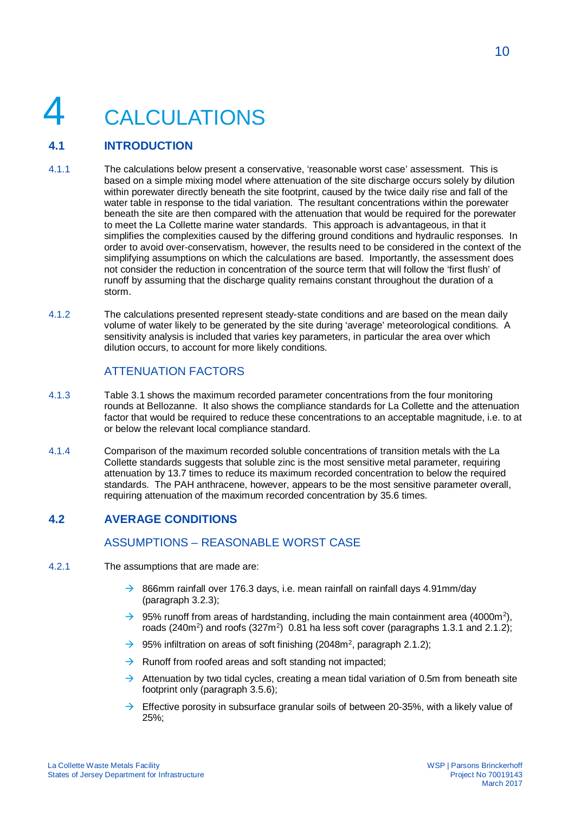# **CALCULATIONS**

# **4.1 INTRODUCTION**

- 4.1.1 The calculations below present a conservative, 'reasonable worst case' assessment. This is based on a simple mixing model where attenuation of the site discharge occurs solely by dilution within porewater directly beneath the site footprint, caused by the twice daily rise and fall of the water table in response to the tidal variation. The resultant concentrations within the porewater beneath the site are then compared with the attenuation that would be required for the porewater to meet the La Collette marine water standards. This approach is advantageous, in that it simplifies the complexities caused by the differing ground conditions and hydraulic responses. In order to avoid over-conservatism, however, the results need to be considered in the context of the simplifying assumptions on which the calculations are based. Importantly, the assessment does not consider the reduction in concentration of the source term that will follow the 'first flush' of runoff by assuming that the discharge quality remains constant throughout the duration of a storm.
- 4.1.2 The calculations presented represent steady-state conditions and are based on the mean daily volume of water likely to be generated by the site during 'average' meteorological conditions. A sensitivity analysis is included that varies key parameters, in particular the area over which dilution occurs, to account for more likely conditions.

## ATTENUATION FACTORS

- 4.1.3 Table 3.1 shows the maximum recorded parameter concentrations from the four monitoring rounds at Bellozanne. It also shows the compliance standards for La Collette and the attenuation factor that would be required to reduce these concentrations to an acceptable magnitude, i.e. to at or below the relevant local compliance standard.
- 4.1.4 Comparison of the maximum recorded soluble concentrations of transition metals with the La Collette standards suggests that soluble zinc is the most sensitive metal parameter, requiring attenuation by 13.7 times to reduce its maximum recorded concentration to below the required standards. The PAH anthracene, however, appears to be the most sensitive parameter overall, requiring attenuation of the maximum recorded concentration by 35.6 times.

## **4.2 AVERAGE CONDITIONS**

### ASSUMPTIONS – REASONABLE WORST CASE

- 4.2.1 The assumptions that are made are:
	- $\rightarrow$  866mm rainfall over 176.3 days, i.e. mean rainfall on rainfall days 4.91mm/day (paragraph 3.2.3);
	- $\rightarrow$  95% runoff from areas of hardstanding, including the main containment area (4000m<sup>2</sup>), roads (240m<sup>2</sup>) and roofs (327m<sup>2</sup>) 0.81 ha less soft cover (paragraphs 1.3.1 and 2.1.2);
	- $\rightarrow$  95% infiltration on areas of soft finishing (2048m<sup>2</sup>, paragraph 2.1.2);
	- $\rightarrow$  Runoff from roofed areas and soft standing not impacted;
	- $\rightarrow$  Attenuation by two tidal cycles, creating a mean tidal variation of 0.5m from beneath site footprint only (paragraph 3.5.6);
	- $\rightarrow$  Effective porosity in subsurface granular soils of between 20-35%, with a likely value of 25%;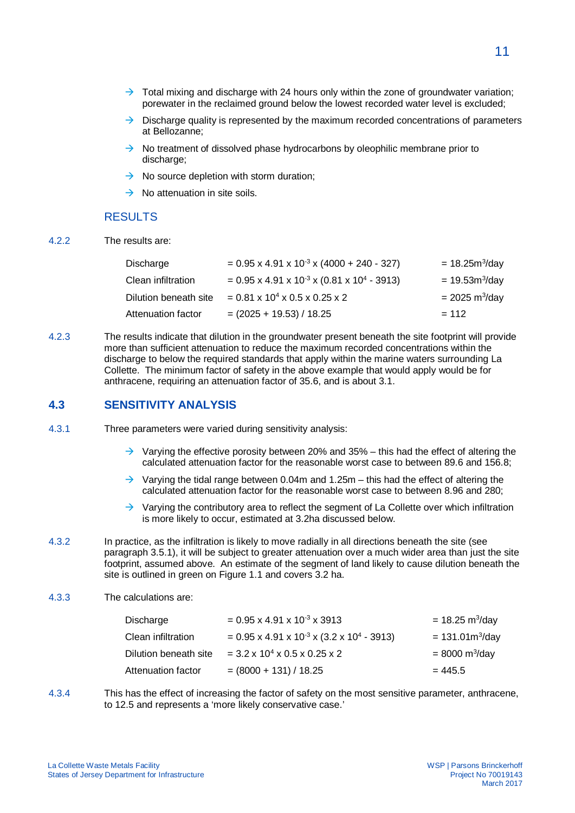- $\rightarrow$  Total mixing and discharge with 24 hours only within the zone of groundwater variation; porewater in the reclaimed ground below the lowest recorded water level is excluded;
- $\rightarrow$  Discharge quality is represented by the maximum recorded concentrations of parameters at Bellozanne;
- $\rightarrow$  No treatment of dissolved phase hydrocarbons by oleophilic membrane prior to discharge;
- $\rightarrow$  No source depletion with storm duration:
- $\rightarrow$  No attenuation in site soils.

#### RESULTS

4.2.2 The results are:

| Discharge             | $= 0.95 \times 4.91 \times 10^{-3} \times (4000 + 240 - 327)$          | $= 18.25 m^{3}/day$             |
|-----------------------|------------------------------------------------------------------------|---------------------------------|
| Clean infiltration    | $= 0.95 \times 4.91 \times 10^{-3} \times (0.81 \times 10^{4} - 3913)$ | $= 19.53m^{3}/day$              |
| Dilution beneath site | $= 0.81 \times 10^4 \times 0.5 \times 0.25 \times 2$                   | $= 2025 \text{ m}^3/\text{day}$ |
| Attenuation factor    | $= (2025 + 19.53) / 18.25$                                             | $= 112$                         |

4.2.3 The results indicate that dilution in the groundwater present beneath the site footprint will provide more than sufficient attenuation to reduce the maximum recorded concentrations within the discharge to below the required standards that apply within the marine waters surrounding La Collette. The minimum factor of safety in the above example that would apply would be for anthracene, requiring an attenuation factor of 35.6, and is about 3.1.

#### **4.3 SENSITIVITY ANALYSIS**

- 4.3.1 Three parameters were varied during sensitivity analysis:
	- $\rightarrow$  Varying the effective porosity between 20% and 35% this had the effect of altering the calculated attenuation factor for the reasonable worst case to between 89.6 and 156.8;
	- $\rightarrow$  Varying the tidal range between 0.04m and 1.25m this had the effect of altering the calculated attenuation factor for the reasonable worst case to between 8.96 and 280;
	- $\rightarrow$  Varying the contributory area to reflect the segment of La Collette over which infiltration is more likely to occur, estimated at 3.2ha discussed below.
- 4.3.2 In practice, as the infiltration is likely to move radially in all directions beneath the site (see paragraph 3.5.1), it will be subject to greater attenuation over a much wider area than just the site footprint, assumed above. An estimate of the segment of land likely to cause dilution beneath the site is outlined in green on Figure 1.1 and covers 3.2 ha.

#### 4.3.3 The calculations are:

| Discharge             | $= 0.95 \times 4.91 \times 10^{-3} \times 3913$                       | $= 18.25 \text{ m}^3/\text{day}$ |
|-----------------------|-----------------------------------------------------------------------|----------------------------------|
| Clean infiltration    | $= 0.95 \times 4.91 \times 10^{-3} \times (3.2 \times 10^{4} - 3913)$ | $= 131.01 \text{m}^3/\text{day}$ |
| Dilution beneath site | $= 3.2 \times 10^{4} \times 0.5 \times 0.25 \times 2$                 | $= 8000 \text{ m}^3/\text{day}$  |
| Attenuation factor    | $= (8000 + 131) / 18.25$                                              | $= 445.5$                        |

4.3.4 This has the effect of increasing the factor of safety on the most sensitive parameter, anthracene, to 12.5 and represents a 'more likely conservative case.'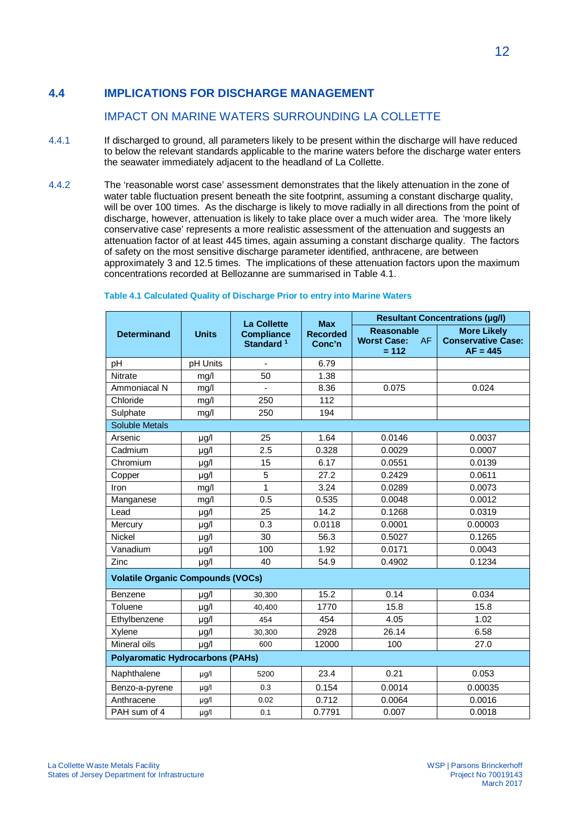# **4.4 IMPLICATIONS FOR DISCHARGE MANAGEMENT**

### IMPACT ON MARINE WATERS SURROUNDING LA COLLETTE

- 4.4.1 If discharged to ground, all parameters likely to be present within the discharge will have reduced to below the relevant standards applicable to the marine waters before the discharge water enters the seawater immediately adjacent to the headland of La Collette.
- 4.4.2 The 'reasonable worst case' assessment demonstrates that the likely attenuation in the zone of water table fluctuation present beneath the site footprint, assuming a constant discharge quality, will be over 100 times. As the discharge is likely to move radially in all directions from the point of discharge, however, attenuation is likely to take place over a much wider area. The 'more likely conservative case' represents a more realistic assessment of the attenuation and suggests an attenuation factor of at least 445 times, again assuming a constant discharge quality. The factors of safety on the most sensitive discharge parameter identified, anthracene, are between approximately 3 and 12.5 times. The implications of these attenuation factors upon the maximum concentrations recorded at Bellozanne are summarised in Table 4.1.

|                                          |              | <b>La Collette</b>                         | <b>Max</b>                | <b>Resultant Concentrations (µg/l)</b>                   |                                                               |  |  |
|------------------------------------------|--------------|--------------------------------------------|---------------------------|----------------------------------------------------------|---------------------------------------------------------------|--|--|
| <b>Determinand</b>                       | <b>Units</b> | <b>Compliance</b><br>Standard <sup>1</sup> | <b>Recorded</b><br>Conc'n | <b>Reasonable</b><br>AF<br><b>Worst Case:</b><br>$= 112$ | <b>More Likely</b><br><b>Conservative Case:</b><br>$AF = 445$ |  |  |
| pH                                       | pH Units     |                                            | 6.79                      |                                                          |                                                               |  |  |
| Nitrate                                  | mg/l         | 50                                         | 1.38                      |                                                          |                                                               |  |  |
| Ammoniacal N                             | mg/l         |                                            | 8.36                      | 0.075                                                    | 0.024                                                         |  |  |
| Chloride                                 | mg/l         | 250                                        | 112                       |                                                          |                                                               |  |  |
| Sulphate                                 | mg/l         | 250                                        | 194                       |                                                          |                                                               |  |  |
| Soluble Metals                           |              |                                            |                           |                                                          |                                                               |  |  |
| Arsenic                                  | $\mu$ g/l    | 25                                         | 1.64                      | 0.0146                                                   | 0.0037                                                        |  |  |
| Cadmium                                  | $\mu$ g/l    | 2.5                                        | 0.328                     | 0.0029                                                   | 0.0007                                                        |  |  |
| Chromium                                 | $\mu$ g/l    | 15                                         | 6.17                      | 0.0551                                                   | 0.0139                                                        |  |  |
| Copper                                   | $\mu$ g/l    | 5                                          | 27.2                      | 0.2429                                                   | 0.0611                                                        |  |  |
| Iron                                     | mg/l         | 1                                          | 3.24                      | 0.0289                                                   | 0.0073                                                        |  |  |
| Manganese                                | mg/l         | 0.5                                        | 0.535                     | 0.0048                                                   | 0.0012                                                        |  |  |
| Lead                                     | µg/l         | 25                                         | 14.2                      | 0.1268                                                   | 0.0319                                                        |  |  |
| Mercury                                  | µg/l         | 0.3                                        | 0.0118                    | 0.0001                                                   | 0.00003                                                       |  |  |
| Nickel                                   | µg/l         | 30                                         | 56.3                      | 0.5027                                                   | 0.1265                                                        |  |  |
| Vanadium                                 | µg/l         | 100                                        | 1.92                      | 0.0171                                                   | 0.0043                                                        |  |  |
| Zinc                                     | $\mu$ g/l    | 40                                         | 54.9                      | 0.4902                                                   | 0.1234                                                        |  |  |
| <b>Volatile Organic Compounds (VOCs)</b> |              |                                            |                           |                                                          |                                                               |  |  |
| Benzene                                  | $\mu$ g/l    | 30,300                                     | 15.2                      | 0.14                                                     | 0.034                                                         |  |  |
| Toluene                                  | µg/l         | 40,400                                     | 1770                      | 15.8                                                     | 15.8                                                          |  |  |
| Ethylbenzene                             | $\mu$ g/l    | 454                                        | 454                       | 4.05                                                     | 1.02                                                          |  |  |
| Xylene                                   | $\mu$ g/l    | 30,300                                     | 2928                      | 26.14                                                    | 6.58                                                          |  |  |
| Mineral oils                             | µg/l         | 600                                        | 12000                     | 100                                                      | 27.0                                                          |  |  |
| <b>Polyaromatic Hydrocarbons (PAHs)</b>  |              |                                            |                           |                                                          |                                                               |  |  |
| Naphthalene                              | $\mu$ g/l    | 5200                                       | 23.4                      | 0.21                                                     | 0.053                                                         |  |  |
| Benzo-a-pyrene                           | $\mu$ g/l    | 0.3                                        | 0.154                     | 0.0014                                                   | 0.00035                                                       |  |  |
| Anthracene                               | $\mu$ g/l    | 0.02                                       | 0.712                     | 0.0064                                                   | 0.0016                                                        |  |  |
| PAH sum of 4                             | $\mu$ g/l    | 0.1                                        | 0.7791                    | 0.007                                                    | 0.0018                                                        |  |  |

#### **Table 4.1 Calculated Quality of Discharge Prior to entry into Marine Waters**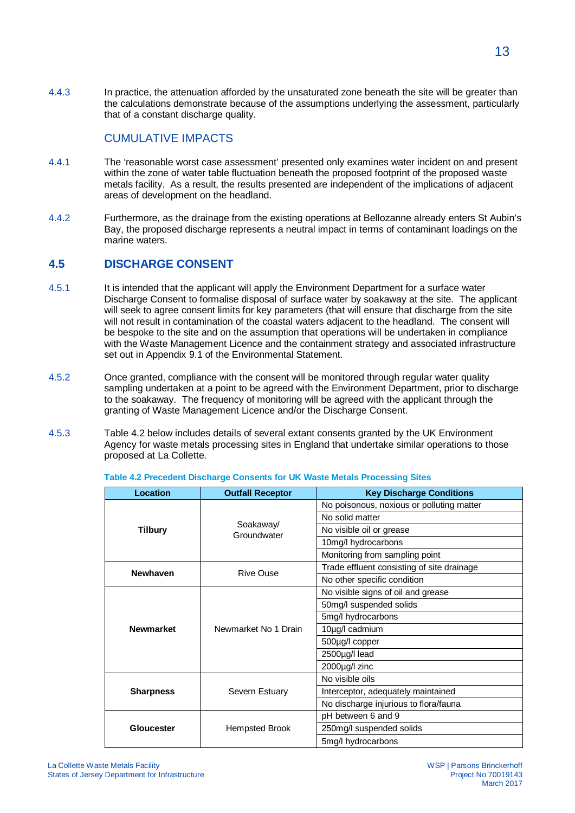4.4.3 In practice, the attenuation afforded by the unsaturated zone beneath the site will be greater than the calculations demonstrate because of the assumptions underlying the assessment, particularly that of a constant discharge quality.

### CUMULATIVE IMPACTS

- 4.4.1 The 'reasonable worst case assessment' presented only examines water incident on and present within the zone of water table fluctuation beneath the proposed footprint of the proposed waste metals facility. As a result, the results presented are independent of the implications of adjacent areas of development on the headland.
- 4.4.2 Furthermore, as the drainage from the existing operations at Bellozanne already enters St Aubin's Bay, the proposed discharge represents a neutral impact in terms of contaminant loadings on the marine waters.

### **4.5 DISCHARGE CONSENT**

- 4.5.1 It is intended that the applicant will apply the Environment Department for a surface water Discharge Consent to formalise disposal of surface water by soakaway at the site. The applicant will seek to agree consent limits for key parameters (that will ensure that discharge from the site will not result in contamination of the coastal waters adjacent to the headland. The consent will be bespoke to the site and on the assumption that operations will be undertaken in compliance with the Waste Management Licence and the containment strategy and associated infrastructure set out in Appendix 9.1 of the Environmental Statement.
- 4.5.2 Once granted, compliance with the consent will be monitored through regular water quality sampling undertaken at a point to be agreed with the Environment Department, prior to discharge to the soakaway. The frequency of monitoring will be agreed with the applicant through the granting of Waste Management Licence and/or the Discharge Consent.
- 4.5.3 Table 4.2 below includes details of several extant consents granted by the UK Environment Agency for waste metals processing sites in England that undertake similar operations to those proposed at La Collette.

| <b>Location</b>  | <b>Outfall Receptor</b>  | <b>Key Discharge Conditions</b>            |
|------------------|--------------------------|--------------------------------------------|
|                  |                          | No poisonous, noxious or polluting matter  |
|                  |                          | No solid matter                            |
| Tilbury          | Soakaway/<br>Groundwater | No visible oil or grease                   |
|                  |                          | 10mg/l hydrocarbons                        |
|                  |                          | Monitoring from sampling point             |
| <b>Newhaven</b>  | Rive Ouse                | Trade effluent consisting of site drainage |
|                  |                          | No other specific condition                |
|                  |                          | No visible signs of oil and grease         |
|                  | Newmarket No 1 Drain     | 50mg/l suspended solids                    |
|                  |                          | 5mg/l hydrocarbons                         |
| <b>Newmarket</b> |                          | 10µg/l cadmium                             |
|                  |                          | 500µg/l copper                             |
|                  |                          | 2500µg/l lead                              |
|                  |                          | 2000µg/l zinc                              |
|                  |                          | No visible oils                            |
| <b>Sharpness</b> | Severn Estuary           | Interceptor, adequately maintained         |
|                  |                          | No discharge injurious to flora/fauna      |
|                  |                          | pH between 6 and 9                         |
| Gloucester       | Hempsted Brook           | 250mg/l suspended solids                   |
|                  |                          | 5mg/l hydrocarbons                         |

**Table 4.2 Precedent Discharge Consents for UK Waste Metals Processing Sites**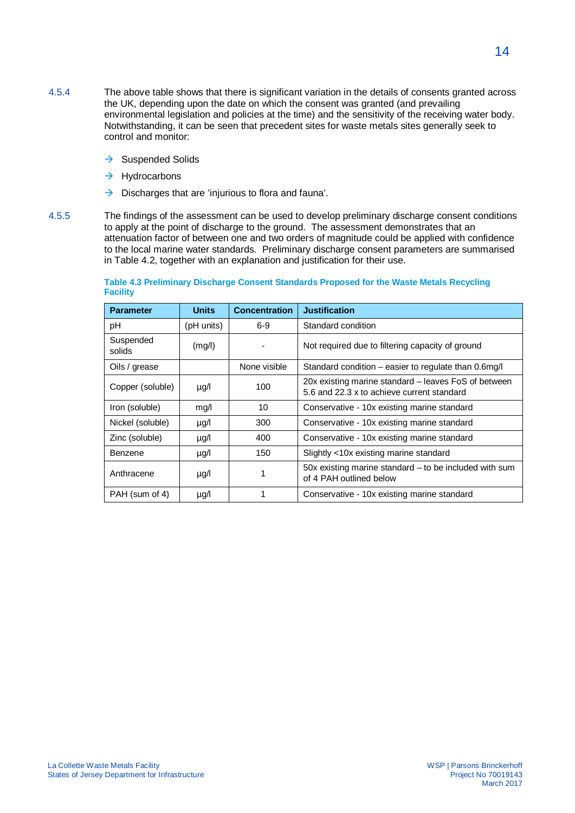- 4.5.4 The above table shows that there is significant variation in the details of consents granted across the UK, depending upon the date on which the consent was granted (and prevailing environmental legislation and policies at the time) and the sensitivity of the receiving water body. Notwithstanding, it can be seen that precedent sites for waste metals sites generally seek to control and monitor:
	- $\rightarrow$  Suspended Solids
	- $\rightarrow$  Hydrocarbons
	- $\rightarrow$  Discharges that are 'injurious to flora and fauna'.
- 4.5.5 The findings of the assessment can be used to develop preliminary discharge consent conditions to apply at the point of discharge to the ground. The assessment demonstrates that an attenuation factor of between one and two orders of magnitude could be applied with confidence to the local marine water standards. Preliminary discharge consent parameters are summarised in Table 4.2, together with an explanation and justification for their use.

| <b>Parameter</b>    | <b>Units</b> | <b>Concentration</b> | <b>Justification</b>                                                                               |
|---------------------|--------------|----------------------|----------------------------------------------------------------------------------------------------|
| рH                  | (pH units)   | $6-9$                | Standard condition                                                                                 |
| Suspended<br>solids | (mg/l)       |                      | Not required due to filtering capacity of ground                                                   |
| Oils / grease       |              | None visible         | Standard condition – easier to regulate than 0.6mg/l                                               |
| Copper (soluble)    | µg/l         | 100                  | 20x existing marine standard - leaves FoS of between<br>5.6 and 22.3 x to achieve current standard |
| Iron (soluble)      | mg/l         | 10                   | Conservative - 10x existing marine standard                                                        |
| Nickel (soluble)    | µg/l         | 300                  | Conservative - 10x existing marine standard                                                        |
| Zinc (soluble)      | µg/l         | 400                  | Conservative - 10x existing marine standard                                                        |
| Benzene             | µg/l         | 150                  | Slightly <10x existing marine standard                                                             |
| Anthracene          | $\mu$ g/l    | 1                    | 50x existing marine standard $-$ to be included with sum<br>of 4 PAH outlined below                |
| PAH (sum of 4)      | µg/l         |                      | Conservative - 10x existing marine standard                                                        |

**Table 4.3 Preliminary Discharge Consent Standards Proposed for the Waste Metals Recycling Facility**